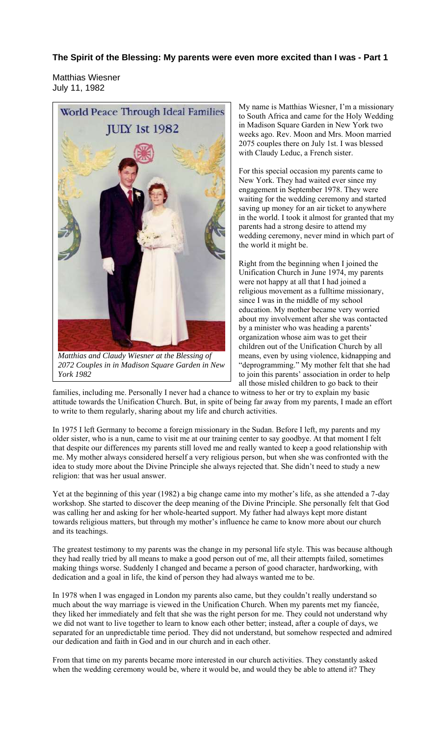## **The Spirit of the Blessing: My parents were even more excited than I was - Part 1**

Matthias Wiesner July 11, 1982



*2072 Couples in in Madison Square Garden in New York 1982*

My name is Matthias Wiesner, I'm a missionary to South Africa and came for the Holy Wedding in Madison Square Garden in New York two weeks ago. Rev. Moon and Mrs. Moon married 2075 couples there on July 1st. I was blessed with Claudy Leduc, a French sister.

For this special occasion my parents came to New York. They had waited ever since my engagement in September 1978. They were waiting for the wedding ceremony and started saving up money for an air ticket to anywhere in the world. I took it almost for granted that my parents had a strong desire to attend my wedding ceremony, never mind in which part of the world it might be.

Right from the beginning when I joined the Unification Church in June 1974, my parents were not happy at all that I had joined a religious movement as a fulltime missionary, since I was in the middle of my school education. My mother became very worried about my involvement after she was contacted by a minister who was heading a parents' organization whose aim was to get their children out of the Unification Church by all means, even by using violence, kidnapping and "deprogramming." My mother felt that she had to join this parents' association in order to help all those misled children to go back to their

families, including me. Personally I never had a chance to witness to her or try to explain my basic attitude towards the Unification Church. But, in spite of being far away from my parents, I made an effort to write to them regularly, sharing about my life and church activities.

In 1975 I left Germany to become a foreign missionary in the Sudan. Before I left, my parents and my older sister, who is a nun, came to visit me at our training center to say goodbye. At that moment I felt that despite our differences my parents still loved me and really wanted to keep a good relationship with me. My mother always considered herself a very religious person, but when she was confronted with the idea to study more about the Divine Principle she always rejected that. She didn't need to study a new religion: that was her usual answer.

Yet at the beginning of this year (1982) a big change came into my mother's life, as she attended a 7-day workshop. She started to discover the deep meaning of the Divine Principle. She personally felt that God was calling her and asking for her whole-hearted support. My father had always kept more distant towards religious matters, but through my mother's influence he came to know more about our church and its teachings.

The greatest testimony to my parents was the change in my personal life style. This was because although they had really tried by all means to make a good person out of me, all their attempts failed, sometimes making things worse. Suddenly I changed and became a person of good character, hardworking, with dedication and a goal in life, the kind of person they had always wanted me to be.

In 1978 when I was engaged in London my parents also came, but they couldn't really understand so much about the way marriage is viewed in the Unification Church. When my parents met my fiancée, they liked her immediately and felt that she was the right person for me. They could not understand why we did not want to live together to learn to know each other better; instead, after a couple of days, we separated for an unpredictable time period. They did not understand, but somehow respected and admired our dedication and faith in God and in our church and in each other.

From that time on my parents became more interested in our church activities. They constantly asked when the wedding ceremony would be, where it would be, and would they be able to attend it? They